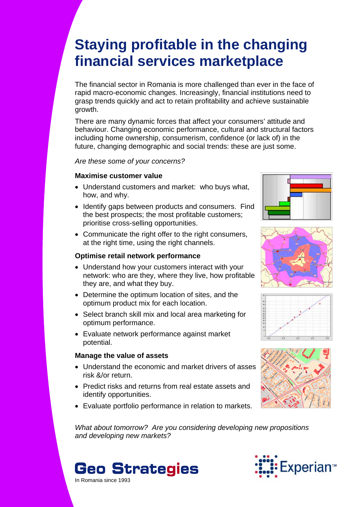# **Staying profitable in the changing financial services marketplace**

The financial sector in Romania is more challenged than ever in the face of rapid macro-economic changes. Increasingly, financial institutions need to grasp trends quickly and act to retain profitability and achieve sustainable growth.

There are many dynamic forces that affect your consumers' attitude and behaviour. Changing economic performance, cultural and structural factors including home ownership, consumerism, confidence (or lack of) in the future, changing demographic and social trends: these are just some.

*Are these some of your concerns?* 

#### **Maximise customer value**

- Understand customers and market: who buys what, how, and why.
- Identify gaps between products and consumers. Find the best prospects; the most profitable customers; prioritise cross-selling opportunities.
- Communicate the right offer to the right consumers, at the right time, using the right channels.

#### **Optimise retail network performance**

- Understand how your customers interact with your network: who are they, where they live, how profitable they are, and what they buy.
- Determine the optimum location of sites, and the optimum product mix for each location.
- Select branch skill mix and local area marketing for optimum performance.
- Evaluate network performance against market potential.

### **Manage the value of assets**

- Understand the economic and market drivers of asses risk &/or return.
- Predict risks and returns from real estate assets and identify opportunities.
- Evaluate portfolio performance in relation to markets.









*What about tomorrow? Are you considering developing new propositions and developing new markets?*